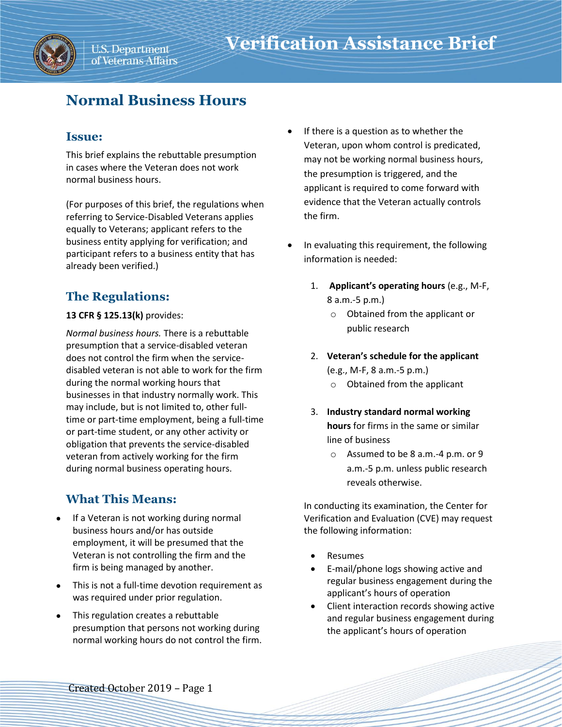### **Issue:**

This brief explains the rebuttable presumption in cases where the Veteran does not work normal business hours.

(For purposes of this brief, the regulations when referring to Service-Disabled Veterans applies equally to Veterans; applicant refers to the business entity applying for verification; and participant refers to a business entity that has already been verified.)

# **The Regulations:**

### **13 CFR § 125.13(k)** provides:

*Normal business hours.* There is a rebuttable presumption that a service-disabled veteran does not control the firm when the servicedisabled veteran is not able to work for the firm during the normal working hours that businesses in that industry normally work. This may include, but is not limited to, other fulltime or part-time employment, being a full-time or part-time student, or any other activity or obligation that prevents the service-disabled veteran from actively working for the firm during normal business operating hours.

## **What This Means:**

- If a Veteran is not working during normal business hours and/or has outside employment, it will be presumed that the Veteran is not controlling the firm and the firm is being managed by another.
- This is not a full-time devotion requirement as was required under prior regulation.
- This regulation creates a rebuttable presumption that persons not working during normal working hours do not control the firm.
- If there is a question as to whether the Veteran, upon whom control is predicated, may not be working normal business hours, the presumption is triggered, and the applicant is required to come forward with evidence that the Veteran actually controls the firm.
- In evaluating this requirement, the following information is needed:
	- 1. **Applicant's operating hours** (e.g., M-F, 8 a.m.-5 p.m.)
		- o Obtained from the applicant or public research
	- 2. **Veteran's schedule for the applicant**  (e.g., M-F, 8 a.m.-5 p.m.)
		- o Obtained from the applicant
	- 3. **Industry standard normal working hours** for firms in the same or similar line of business
		- o Assumed to be 8 a.m.-4 p.m. or 9 a.m.-5 p.m. unless public research reveals otherwise.

In conducting its examination, the Center for Verification and Evaluation (CVE) may request the following information:

- Resumes
- E-mail/phone logs showing active and regular business engagement during the applicant's hours of operation
- Client interaction records showing active and regular business engagement during the applicant's hours of operation